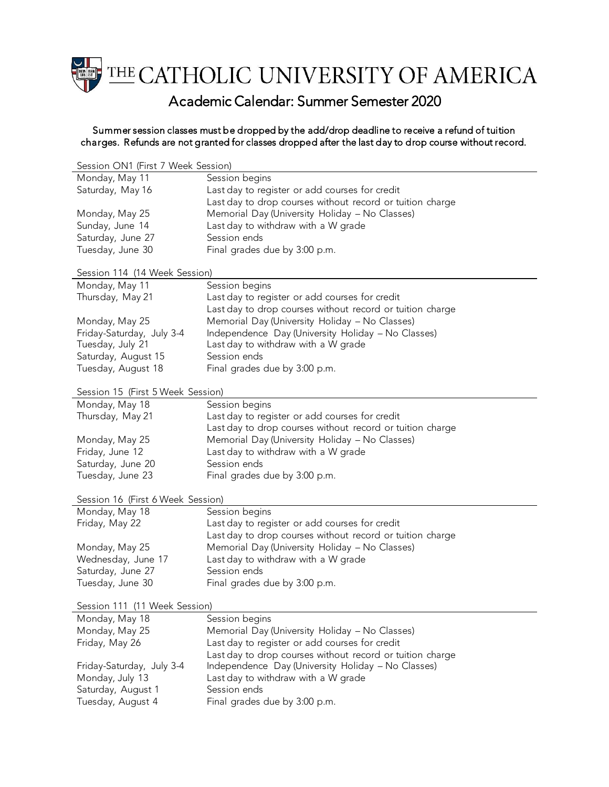

## Academic Calendar: Summer Semester 2020

## Summer session classes must be dropped by the add/drop deadline to receive a refund of tuition charges. Refunds are not granted for classes dropped after the last day to drop course without record.

| Session ON1 (First 7 Week Session) |                                                           |  |
|------------------------------------|-----------------------------------------------------------|--|
| Monday, May 11                     | Session begins                                            |  |
| Saturday, May 16                   | Last day to register or add courses for credit            |  |
|                                    | Last day to drop courses without record or tuition charge |  |
| Monday, May 25                     | Memorial Day (University Holiday - No Classes)            |  |
| Sunday, June 14                    | Last day to withdraw with a W grade                       |  |
| Saturday, June 27                  | Session ends                                              |  |
| Tuesday, June 30                   | Final grades due by 3:00 p.m.                             |  |
|                                    |                                                           |  |
| Session 114 (14 Week Session)      |                                                           |  |
| Monday, May 11                     | Session begins                                            |  |
| Thursday, May 21                   | Last day to register or add courses for credit            |  |
|                                    | Last day to drop courses without record or tuition charge |  |
| Monday, May 25                     | Memorial Day (University Holiday - No Classes)            |  |
| Friday-Saturday, July 3-4          | Independence Day (University Holiday - No Classes)        |  |
| Tuesday, July 21                   | Last day to withdraw with a W grade                       |  |
| Saturday, August 15                | Session ends                                              |  |
| Tuesday, August 18                 | Final grades due by 3:00 p.m.                             |  |
|                                    |                                                           |  |
| Session 15 (First 5 Week Session)  |                                                           |  |
| Monday, May 18                     | Session begins                                            |  |
| Thursday, May 21                   | Last day to register or add courses for credit            |  |
|                                    | Last day to drop courses without record or tuition charge |  |
| Monday, May 25                     | Memorial Day (University Holiday - No Classes)            |  |
| Friday, June 12                    | Last day to withdraw with a W grade                       |  |
| Saturday, June 20                  | Session ends                                              |  |
| Tuesday, June 23                   | Final grades due by 3:00 p.m.                             |  |
| Session 16 (First 6 Week Session)  |                                                           |  |
| Monday, May 18                     | Session begins                                            |  |
| Friday, May 22                     | Last day to register or add courses for credit            |  |
|                                    | Last day to drop courses without record or tuition charge |  |
| Monday, May 25                     | Memorial Day (University Holiday - No Classes)            |  |
| Wednesday, June 17                 | Last day to withdraw with a W grade                       |  |
| Saturday, June 27                  | Session ends                                              |  |
| Tuesday, June 30                   | Final grades due by 3:00 p.m.                             |  |
|                                    |                                                           |  |
| Session 111 (11 Week Session)      |                                                           |  |
| Monday, May 18                     | Session begins                                            |  |
| Monday, May 25                     | Memorial Day (University Holiday - No Classes)            |  |
| Friday, May 26                     | Last day to register or add courses for credit            |  |
|                                    | Last day to drop courses without record or tuition charge |  |
| Friday-Saturday, July 3-4          | Independence Day (University Holiday - No Classes)        |  |
| Monday, July 13                    | Last day to withdraw with a W grade                       |  |
| Saturday, August 1                 | Session ends                                              |  |
| Tuesday, August 4                  | Final grades due by 3:00 p.m.                             |  |